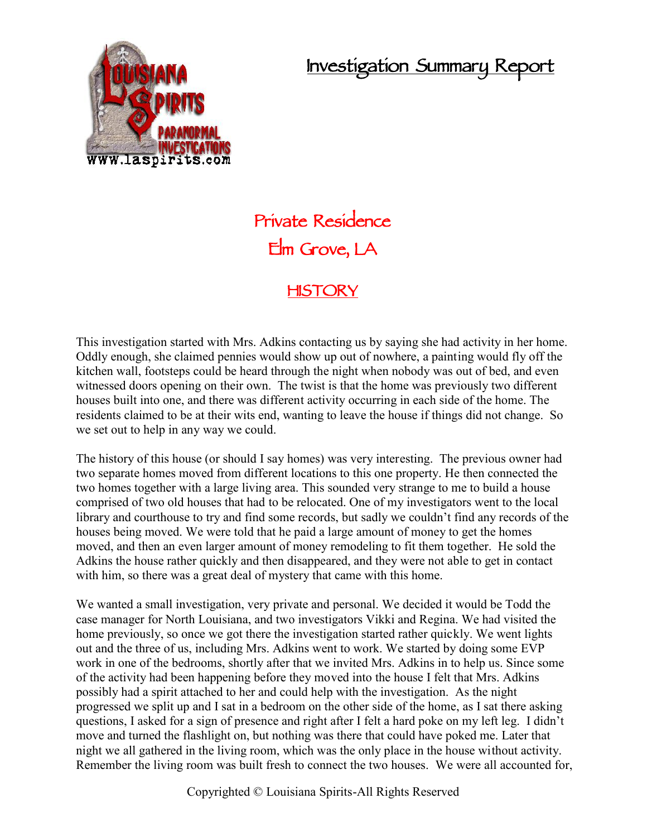## **Investigation Summary Report**



## **Private Residence Elm Grove, LA**

## **HISTORY**

This investigation started with Mrs. Adkins contacting us by saying she had activity in her home. Oddly enough, she claimed pennies would show up out of nowhere, a painting would fly off the kitchen wall, footsteps could be heard through the night when nobody was out of bed, and even witnessed doors opening on their own. The twist is that the home was previously two different houses built into one, and there was different activity occurring in each side of the home. The residents claimed to be at their wits end, wanting to leave the house if things did not change. So we set out to help in any way we could.

The history of this house (or should I say homes) was very interesting. The previous owner had two separate homes moved from different locations to this one property. He then connected the two homes together with a large living area. This sounded very strange to me to build a house comprised of two old houses that had to be relocated. One of my investigators went to the local library and courthouse to try and find some records, but sadly we couldn't find any records of the houses being moved. We were told that he paid a large amount of money to get the homes moved, and then an even larger amount of money remodeling to fit them together. He sold the Adkins the house rather quickly and then disappeared, and they were not able to get in contact with him, so there was a great deal of mystery that came with this home.

We wanted a small investigation, very private and personal. We decided it would be Todd the case manager for North Louisiana, and two investigators Vikki and Regina. We had visited the home previously, so once we got there the investigation started rather quickly. We went lights out and the three of us, including Mrs. Adkins went to work. We started by doing some EVP work in one of the bedrooms, shortly after that we invited Mrs. Adkins in to help us. Since some of the activity had been happening before they moved into the house I felt that Mrs. Adkins possibly had a spirit attached to her and could help with the investigation. As the night progressed we split up and I sat in a bedroom on the other side of the home, as I sat there asking questions, I asked for a sign of presence and right after I felt a hard poke on my left leg. I didn't move and turned the flashlight on, but nothing was there that could have poked me. Later that night we all gathered in the living room, which was the only place in the house without activity. Remember the living room was built fresh to connect the two houses. We were all accounted for,